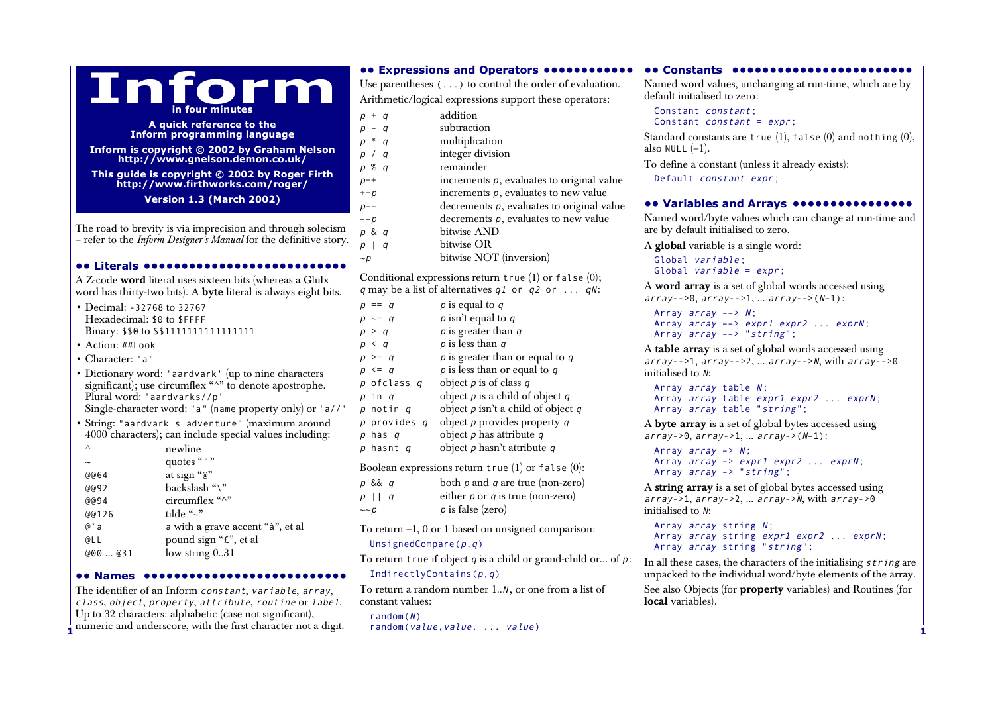| <b></b> Expressions and Operators<br><b> Constants </b><br>Inform<br>Use parentheses $(\ldots)$ to control the order of evaluation.<br>Named word values, unchanging at run-time, which are by<br>default initialised to zero:<br>Arithmetic/logical expressions support these operators:<br>in four minutes<br>Constant constant;<br>addition<br>$p + q$<br>Constant <i>constant</i> = $expr$ ;<br>A quick reference to the<br>subtraction<br>$p - q$<br><b>Inform programming language</b><br>Standard constants are true $(1)$ , false $(0)$ and nothing $(0)$ ,<br>multiplication<br>$p * q$<br>also NULL $(-1)$ .<br>Inform is copyright © 2002 by Graham Nelson<br>integer division<br>p / q<br>http://www.gnelson.demon.co.uk/<br>To define a constant (unless it already exists):<br>remainder<br>p % q<br>This guide is copyright © 2002 by Roger Firth<br>Default constant expr;<br>increments $p$ , evaluates to original value<br>$p++$<br>http://www.firthworks.com/roger/<br>increments $p$ , evaluates to new value<br>$++p$<br><b>Version 1.3 (March 2002)</b><br><b> Variables and Arrays </b><br>decrements $p$ , evaluates to original value<br>$p - -$<br>Named word/byte values which can change at run-time and<br>decrements $p$ , evaluates to new value<br>$--p$<br>The road to brevity is via imprecision and through solecism<br>are by default initialised to zero.<br>bitwise AND<br>p & q<br>- refer to the Inform Designer's Manual for the definitive story.<br>bitwise OR<br>p   q<br>A global variable is a single word:<br>bitwise NOT (inversion)<br>$\sim p$<br>Global variable: |                               |
|-----------------------------------------------------------------------------------------------------------------------------------------------------------------------------------------------------------------------------------------------------------------------------------------------------------------------------------------------------------------------------------------------------------------------------------------------------------------------------------------------------------------------------------------------------------------------------------------------------------------------------------------------------------------------------------------------------------------------------------------------------------------------------------------------------------------------------------------------------------------------------------------------------------------------------------------------------------------------------------------------------------------------------------------------------------------------------------------------------------------------------------------------------------------------------------------------------------------------------------------------------------------------------------------------------------------------------------------------------------------------------------------------------------------------------------------------------------------------------------------------------------------------------------------------------------------------------------------------------------------------|-------------------------------|
|                                                                                                                                                                                                                                                                                                                                                                                                                                                                                                                                                                                                                                                                                                                                                                                                                                                                                                                                                                                                                                                                                                                                                                                                                                                                                                                                                                                                                                                                                                                                                                                                                       |                               |
|                                                                                                                                                                                                                                                                                                                                                                                                                                                                                                                                                                                                                                                                                                                                                                                                                                                                                                                                                                                                                                                                                                                                                                                                                                                                                                                                                                                                                                                                                                                                                                                                                       |                               |
|                                                                                                                                                                                                                                                                                                                                                                                                                                                                                                                                                                                                                                                                                                                                                                                                                                                                                                                                                                                                                                                                                                                                                                                                                                                                                                                                                                                                                                                                                                                                                                                                                       |                               |
|                                                                                                                                                                                                                                                                                                                                                                                                                                                                                                                                                                                                                                                                                                                                                                                                                                                                                                                                                                                                                                                                                                                                                                                                                                                                                                                                                                                                                                                                                                                                                                                                                       |                               |
|                                                                                                                                                                                                                                                                                                                                                                                                                                                                                                                                                                                                                                                                                                                                                                                                                                                                                                                                                                                                                                                                                                                                                                                                                                                                                                                                                                                                                                                                                                                                                                                                                       |                               |
|                                                                                                                                                                                                                                                                                                                                                                                                                                                                                                                                                                                                                                                                                                                                                                                                                                                                                                                                                                                                                                                                                                                                                                                                                                                                                                                                                                                                                                                                                                                                                                                                                       |                               |
|                                                                                                                                                                                                                                                                                                                                                                                                                                                                                                                                                                                                                                                                                                                                                                                                                                                                                                                                                                                                                                                                                                                                                                                                                                                                                                                                                                                                                                                                                                                                                                                                                       |                               |
|                                                                                                                                                                                                                                                                                                                                                                                                                                                                                                                                                                                                                                                                                                                                                                                                                                                                                                                                                                                                                                                                                                                                                                                                                                                                                                                                                                                                                                                                                                                                                                                                                       |                               |
|                                                                                                                                                                                                                                                                                                                                                                                                                                                                                                                                                                                                                                                                                                                                                                                                                                                                                                                                                                                                                                                                                                                                                                                                                                                                                                                                                                                                                                                                                                                                                                                                                       |                               |
|                                                                                                                                                                                                                                                                                                                                                                                                                                                                                                                                                                                                                                                                                                                                                                                                                                                                                                                                                                                                                                                                                                                                                                                                                                                                                                                                                                                                                                                                                                                                                                                                                       |                               |
|                                                                                                                                                                                                                                                                                                                                                                                                                                                                                                                                                                                                                                                                                                                                                                                                                                                                                                                                                                                                                                                                                                                                                                                                                                                                                                                                                                                                                                                                                                                                                                                                                       |                               |
|                                                                                                                                                                                                                                                                                                                                                                                                                                                                                                                                                                                                                                                                                                                                                                                                                                                                                                                                                                                                                                                                                                                                                                                                                                                                                                                                                                                                                                                                                                                                                                                                                       |                               |
| Global variable = $expr$ ;                                                                                                                                                                                                                                                                                                                                                                                                                                                                                                                                                                                                                                                                                                                                                                                                                                                                                                                                                                                                                                                                                                                                                                                                                                                                                                                                                                                                                                                                                                                                                                                            | <b>OO Literals OOOOOOOOOO</b> |
| Conditional expressions return true $(1)$ or false $(0)$ ;<br>A Z-code word literal uses sixteen bits (whereas a Glulx<br>A word array is a set of global words accessed using                                                                                                                                                                                                                                                                                                                                                                                                                                                                                                                                                                                                                                                                                                                                                                                                                                                                                                                                                                                                                                                                                                                                                                                                                                                                                                                                                                                                                                        |                               |
| q may be a list of alternatives q1 or $q2$ or $qN$ :<br>word has thirty-two bits). A byte literal is always eight bits.<br>$array--0, array--1,  array--(N-1):$                                                                                                                                                                                                                                                                                                                                                                                                                                                                                                                                                                                                                                                                                                                                                                                                                                                                                                                                                                                                                                                                                                                                                                                                                                                                                                                                                                                                                                                       |                               |
| $p$ is equal to $q$<br>$p == q$<br>• Decimal: -32768 to 32767<br>Array $array \rightarrow N$ :<br>$p$ isn't equal to $q$<br>$p \sim = q$                                                                                                                                                                                                                                                                                                                                                                                                                                                                                                                                                                                                                                                                                                                                                                                                                                                                                                                                                                                                                                                                                                                                                                                                                                                                                                                                                                                                                                                                              |                               |
| Hexadecimal: \$0 to \$FFFF<br>Array $array \rightarrow expr1 expr2 \ldots exprN;$<br>$p$ is greater than $q$<br>Binary: \$\$0 to \$\$11111111111111111<br>p > q                                                                                                                                                                                                                                                                                                                                                                                                                                                                                                                                                                                                                                                                                                                                                                                                                                                                                                                                                                                                                                                                                                                                                                                                                                                                                                                                                                                                                                                       |                               |
| Array array --> "string";<br>$p$ is less than $q$<br>• Action: ##Look<br>$p \leq q$                                                                                                                                                                                                                                                                                                                                                                                                                                                                                                                                                                                                                                                                                                                                                                                                                                                                                                                                                                                                                                                                                                                                                                                                                                                                                                                                                                                                                                                                                                                                   |                               |
| A table array is a set of global words accessed using<br>$p$ is greater than or equal to $q$<br>$p \geq q$<br>• Character: 'a'<br>$array--1, array--2,  array--N, with array--90$                                                                                                                                                                                                                                                                                                                                                                                                                                                                                                                                                                                                                                                                                                                                                                                                                                                                                                                                                                                                                                                                                                                                                                                                                                                                                                                                                                                                                                     |                               |
| $p$ is less than or equal to $q$<br>$p \leq q$<br>initialised to $N$ :<br>• Dictionary word: 'aardvark' (up to nine characters                                                                                                                                                                                                                                                                                                                                                                                                                                                                                                                                                                                                                                                                                                                                                                                                                                                                                                                                                                                                                                                                                                                                                                                                                                                                                                                                                                                                                                                                                        |                               |
| object $p$ is of class $q$<br>p ofclass q<br>significant); use circumflex "^" to denote apostrophe.<br>Array array table N;                                                                                                                                                                                                                                                                                                                                                                                                                                                                                                                                                                                                                                                                                                                                                                                                                                                                                                                                                                                                                                                                                                                                                                                                                                                                                                                                                                                                                                                                                           |                               |
| object $p$ is a child of object $q$<br>Plural word: 'aardvarks//p'<br>p in q<br>Array array table expr1 expr2  exprN;                                                                                                                                                                                                                                                                                                                                                                                                                                                                                                                                                                                                                                                                                                                                                                                                                                                                                                                                                                                                                                                                                                                                                                                                                                                                                                                                                                                                                                                                                                 |                               |
| object $p$ isn't a child of object $q$<br>Single-character word: "a" (name property only) or 'a//'<br>Array array table "string";<br>p notin q<br>object $p$ provides property $q$<br>p provides q                                                                                                                                                                                                                                                                                                                                                                                                                                                                                                                                                                                                                                                                                                                                                                                                                                                                                                                                                                                                                                                                                                                                                                                                                                                                                                                                                                                                                    |                               |
| String: "aardvark's adventure" (maximum around<br>A byte array is a set of global bytes accessed using<br>4000 characters); can include special values including:<br>object $p$ has attribute $q$<br>$p$ has $q$<br>$array->0, array->1,  array->(N-1):$                                                                                                                                                                                                                                                                                                                                                                                                                                                                                                                                                                                                                                                                                                                                                                                                                                                                                                                                                                                                                                                                                                                                                                                                                                                                                                                                                              |                               |
| object $p$ hasn't attribute $q$<br>$\wedge$<br>p hasnt q<br>newline<br>Array $array \rightarrow N$ ;                                                                                                                                                                                                                                                                                                                                                                                                                                                                                                                                                                                                                                                                                                                                                                                                                                                                                                                                                                                                                                                                                                                                                                                                                                                                                                                                                                                                                                                                                                                  |                               |
| quotes """<br>Array array -> expr1 expr2  exprN;                                                                                                                                                                                                                                                                                                                                                                                                                                                                                                                                                                                                                                                                                                                                                                                                                                                                                                                                                                                                                                                                                                                                                                                                                                                                                                                                                                                                                                                                                                                                                                      |                               |
| Boolean expressions return true $(1)$ or false $(0)$ :<br>Array array -> "string";<br>at sign "@"<br>@@64                                                                                                                                                                                                                                                                                                                                                                                                                                                                                                                                                                                                                                                                                                                                                                                                                                                                                                                                                                                                                                                                                                                                                                                                                                                                                                                                                                                                                                                                                                             |                               |
| both $p$ and $q$ are true (non-zero)<br>p && q<br>backslash "\"<br>A string array is a set of global bytes accessed using<br>@@92<br>either $p$ or $q$ is true (non-zero)                                                                                                                                                                                                                                                                                                                                                                                                                                                                                                                                                                                                                                                                                                                                                                                                                                                                                                                                                                                                                                                                                                                                                                                                                                                                                                                                                                                                                                             |                               |
| $p \mid q$<br>$array->1, array->2,  array->N, with array->0$<br>circumflex "^"<br>@@94<br>$p$ is false (zero)<br>$\sim p$<br>initialised to N:                                                                                                                                                                                                                                                                                                                                                                                                                                                                                                                                                                                                                                                                                                                                                                                                                                                                                                                                                                                                                                                                                                                                                                                                                                                                                                                                                                                                                                                                        |                               |
| tilde "~"<br>@@126                                                                                                                                                                                                                                                                                                                                                                                                                                                                                                                                                                                                                                                                                                                                                                                                                                                                                                                                                                                                                                                                                                                                                                                                                                                                                                                                                                                                                                                                                                                                                                                                    |                               |
| Array array string N;<br>a with a grave accent "à", et al<br>$@$ a<br>To return $-1$ , 0 or 1 based on unsigned comparison:<br>Array array string expr1 expr2  exprN;<br>pound sign "f", et al<br>@LL                                                                                                                                                                                                                                                                                                                                                                                                                                                                                                                                                                                                                                                                                                                                                                                                                                                                                                                                                                                                                                                                                                                                                                                                                                                                                                                                                                                                                 |                               |
| UnsignedCompare( $p, q$ )<br>Array array string "string";<br>low string 031<br>@00@31                                                                                                                                                                                                                                                                                                                                                                                                                                                                                                                                                                                                                                                                                                                                                                                                                                                                                                                                                                                                                                                                                                                                                                                                                                                                                                                                                                                                                                                                                                                                 |                               |
| To return true if object $q$ is a child or grand-child or of $p$ :<br>In all these cases, the characters of the initialising $string$ are                                                                                                                                                                                                                                                                                                                                                                                                                                                                                                                                                                                                                                                                                                                                                                                                                                                                                                                                                                                                                                                                                                                                                                                                                                                                                                                                                                                                                                                                             |                               |
| IndirectlyContains( $p, q$ )<br>unpacked to the individual word/byte elements of the array.<br>•• Names                                                                                                                                                                                                                                                                                                                                                                                                                                                                                                                                                                                                                                                                                                                                                                                                                                                                                                                                                                                                                                                                                                                                                                                                                                                                                                                                                                                                                                                                                                               |                               |
| See also Objects (for property variables) and Routines (for<br>To return a random number $1N$ , or one from a list of<br>The identifier of an Inform constant, variable, array,<br>local variables).<br>constant values:<br>class, object, property, attribute, routine or label.                                                                                                                                                                                                                                                                                                                                                                                                                                                                                                                                                                                                                                                                                                                                                                                                                                                                                                                                                                                                                                                                                                                                                                                                                                                                                                                                     |                               |

**1 1** class, object, property, attribute, routine or label. Up to 32 characters: alphabetic (case not significant), numeric and underscore, with the first character not a digit.

random(N) random(value, value, ... value)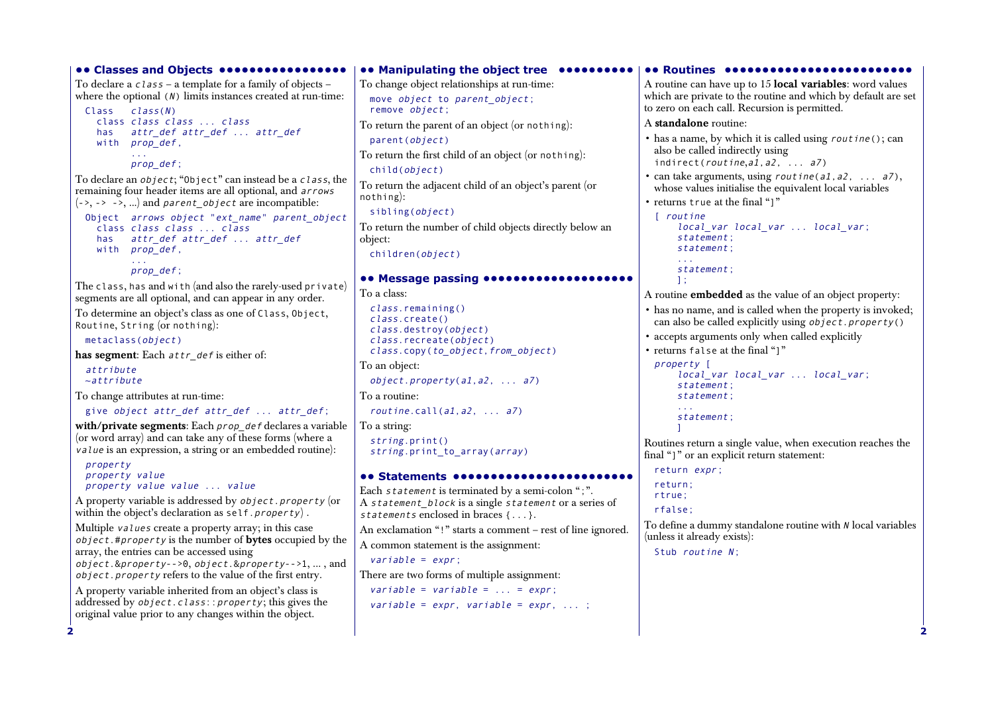```
22•• Classes and Objects •••••••••••••••••
 To declare a c \, \text{l} \, \text{ass} – a template for a family of objects –
  where the optional (N) limits instances created at run-time:
    Class class(N)
      class class class ... class
      has attr_def attr_def ... attr_def
      with prop_def,
             ...prop_def;
  To declare an object; "Object" can instead be a class, the 
 remaining four header items are all optional, and arrows
 (-\rightarrow, -\rightarrow, ...) and parent object are incompatible:
   Object arrows object "ext_name" parent_object
      class class class ... class
      has attr_def attr_def ... attr_def
      with prop_def,
             ...
prop_def;
  The class, has and with (and also the rarely-used private) 
  segments are all optional, and can appear in any order. 
  To determine an object's class as one of Class, Object, 
  Routine, String (or nothing):
   metaclass(object) 
  has segment: Each attr def is either of:
    attribute\simattribute
  To change attributes at run-time:
   give object attr def attr def ... attr def;
  with/private segments: Each prop_def declares a variable 
  (or word array) and can take any of these forms (where a
  value is an expression, a string or an embedded routine):
   property
   property value
   property value value ... value
  A property variable is addressed by object.property (or 
  within the object's declaration as self.property).
  Multiple values create a property array; in this case 
  object.#property is the number of bytes occupied by the 
  array, the entries can be accessed using 
  object.&property-->0, object.&property-->1, ..., and
  object.property refers to the value of the first entry. 
  A property variable inherited from an object's class is 
 addressed by object.class::property; this gives the
 original value prior to any changes within the object. 
                                                              •• Manipulating the object tree ••••••••••
                                                             To change object relationships at run-time:
                                                                move object to parent object;
                                                                remove object; 
                                                              To return the parent of an object (or nothing):
                                                                parent(object) 
                                                              To return the first child of an object (or nothing):
                                                                child(object) 
                                                              To return the adjacent child of an object's parent (or 
                                                              nothing):
                                                               sibling(object) 
                                                              To return the number of child objects directly below an 
                                                             object:
                                                               children(object) 
                                                              •• Message passing ••••••••••••••••••••
                                                             To a class:class.remaining() 
                                                                class.create() 
                                                                class.destroy(object) 
                                                                class.recreate(object) 
                                                                class.copy(to_object,from_object) 
                                                              To an object:
                                                                object.property(a1,a2, ... a7) 
                                                              To a routine:routine.call(a1, a2, \ldots a7)
                                                             To a string:
                                                                string.print() 
                                                                string.print_to_array(array)
                                                              •• Statements ••••••••••••••••••••••••Each statement is terminated by a semi-colon ":".
                                                              A statement block is a single statement or a series of
                                                              statements enclosed in braces {...}. 
                                                              An exclamation "!" starts a comment – rest of line ignored.
                                                              A common statement is the assignment:
                                                                variable = expr;There are two forms of multiple assignment:
                                                                variable = variable = \ldots = expr;
                                                                variable = expr, variable = expr, ...;
                                                                                                                          •• Routines •••••
                                                                                                                          A routine can have up to 15 local variables: word values 
                                                                                                                          which are private to the routine and which by default are set 
                                                                                                                          to zero on each call. Recursion is permitted. 
                                                                                                                          A standalone routine:• has a name, by which it is called using routine(); can 
                                                                                                                            also be called indirectly using 
                                                                                                                            indirect(routine,a1,a2, ... a7)
                                                                                                                           • can take arguments, using rout ine(a1, a2, ... a7),
                                                                                                                            whose values initialise the equivalent local variables 
                                                                                                                           • returns true at the final "]"
                                                                                                                            [ routine
                                                                                                                                 local var local var ... local var;
                                                                                                                                statement; 
                                                                                                                                statement; 
                                                                                                                                 ...statement; 
                                                                                                                                ];
                                                                                                                          A routine embedded as the value of an object property:
                                                                                                                           • has no name, and is called when the property is invoked; 
                                                                                                                            can also be called explicitly using \phi\overrightarrow{b} ject.property()
                                                                                                                           • accepts arguments only when called explicitly 
                                                                                                                           • returns false at the final "]" 
                                                                                                                            property [ 
                                                                                                                                 local_var local_var ... local_var; 
                                                                                                                                statement; 
                                                                                                                                statement; 
                                                                                                                                statement; 
                                                                                                                                 \mathbf{I}Routines return a single value, when execution reaches the 
                                                                                                                          final "]" or an explicit return statement:
                                                                                                                            return expr;
                                                                                                                            return; 
                                                                                                                            rtrue; 
                                                                                                                            rfalse; 
                                                                                                                          To define a dummy standalone routine with N local variables
                                                                                                                          (unless it already exists):
                                                                                                                            Stub routine N;
```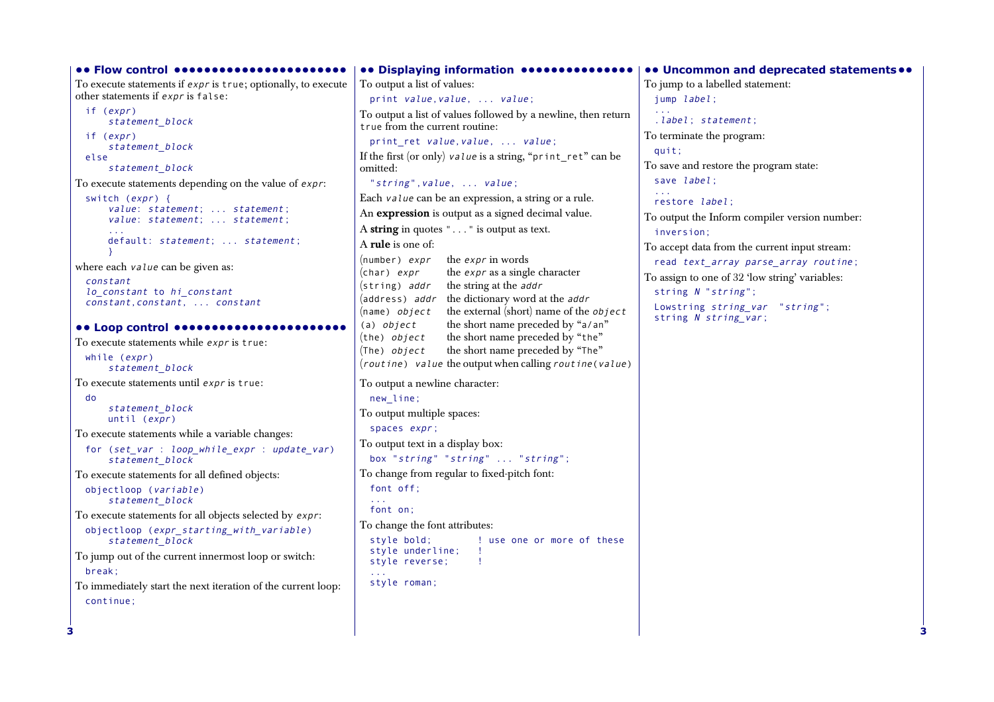**•• Flow control •••••••••••••••••••••••**To execute statements if expr is true; optionally, to execute other statements if expr is false: if (expr) statement block if (expr) statement block else statement\_block To execute statements depending on the value of expr: switch (expr) { value: statement; ... statement; value: statement; ... statement; ...default: statement; ... statement; } where each *value* can be given as: constant lo\_constant to hi\_constant constant,constant, ... constant **•• Loop control •••••••••••••••••••••••** To execute statements while expr is true: while (expr) statement\_block To execute statements until expr is true: do statement\_block until (expr) To execute statements while a variable changes: for (set var : loop while expr : update var) statement\_block To execute statements for all defined objects: objectloop (variable) statement\_block To execute statements for all objects selected by expr: objectloop (expr starting with variable) statement\_block To jump out of the current innermost loop or switch: break; To immediately start the next iteration of the current loop: continue; **•• Displaying information •••••••••••••••** To output a list of values: print value, value, ... value; To output a list of values followed by a newline, then return true from the current routine:print ret value, value, ... value; If the first (or only) value is a string, "print ret" can be omitted:"string",value, ... value; Each value can be an expression, a string or a rule. An **expression** is output as a signed decimal value. A **string** in quotes "..." is output as text. A **rule** is one of:To output a newline character: new\_line; To output multiple spaces: spaces expr; To output text in a display box: box "string" "string" ... "string"; To change from regular to fixed-pitch font: font off; ... font on; To change the font attributes: style bold;  $\qquad \qquad$  ! use one or more of these style underline; !<br>style reverse: ! style reverse; ... style roman; **•• Uncommon and deprecated statements••** To jump to a labelled statement: jump label; ....label; statement; To terminate the program: quit; To save and restore the program state: save *label*; ...restore *label*; To output the Inform compiler version number: inversion; To accept data from the current input stream: read text\_array parse\_array routine; To assign to one of 32 'low string' variables: string N "string"; Lowstring string\_var "string"; string N string var;  $(number)$  *expr* the *expr* in words (char)  $\exp r$  the expr as a single character (string) addr the string at the addr (address) addr the dictionary word at the addr (name) object the external (short) name of the object (a)  $object$  the short name preceded by "a/an" (the)  $object$  the short name preceded by "the" (The)  $object$  the short name preceded by "The"  $(routine)$  value the output when calling rout ine (value)

**3**

**3**